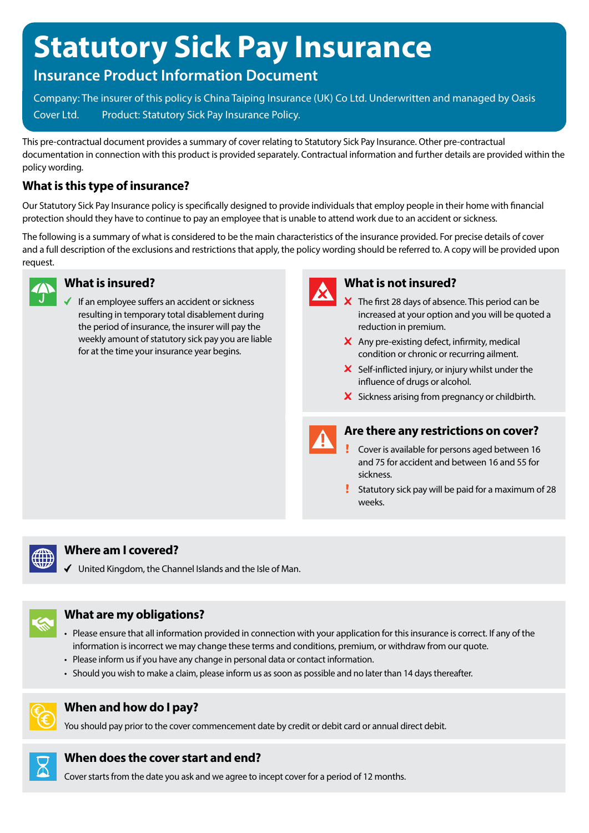# **Statutory Sick Pay Insurance**

# **Insurance Product Information Document**

Company: The insurer of this policy is China Taiping Insurance (UK) Co Ltd. Underwritten and managed by Oasis Cover Ltd. Product: Statutory Sick Pay Insurance Policy.

This pre-contractual document provides a summary of cover relating to Statutory Sick Pay Insurance. Other pre-contractual documentation in connection with this product is provided separately. Contractual information and further details are provided within the policy wording.

# **What is this type of insurance?**

Our Statutory Sick Pay Insurance policy is specifically designed to provide individuals that employ people in their home with financial protection should they have to continue to pay an employee that is unable to attend work due to an accident or sickness.

The following is a summary of what is considered to be the main characteristics of the insurance provided. For precise details of cover and a full description of the exclusions and restrictions that apply, the policy wording should be referred to. A copy will be provided upon request.



#### **What is insured?**

If an employee suffers an accident or sickness resulting in temporary total disablement during the period of insurance, the insurer will pay the weekly amount of statutory sick pay you are liable for at the time your insurance year begins.



# **What is not insured?**

- $\overline{\mathsf{x}}$  The first 28 days of absence. This period can be increased at your option and you will be quoted a reduction in premium.
- $\times$  Any pre-existing defect, infirmity, medical condition or chronic or recurring ailment.
- $\boldsymbol{\times}$  Self-inflicted injury, or injury whilst under the influence of drugs or alcohol.
- X Sickness arising from pregnancy or childbirth.



#### **Are there any restrictions on cover?**

- Cover is available for persons aged between 16 and 75 for accident and between 16 and 55 for sickness.
- Statutory sick pay will be paid for a maximum of 28 weeks.



#### **Where am I covered?**

 $\checkmark$  United Kingdom, the Channel Islands and the Isle of Man.



#### **What are my obligations?**

- Please ensure that all information provided in connection with your application for this insurance is correct. If any of the information is incorrect we may change these terms and conditions, premium, or withdraw from our quote.
- Please inform us if you have any change in personal data or contact information.
- Should you wish to make a claim, please inform us as soon as possible and no later than 14 days thereafter.



## **When and how do I pay?**

You should pay prior to the cover commencement date by credit or debit card or annual direct debit.



Cover starts from the date you ask and we agree to incept cover for a period of 12 months.